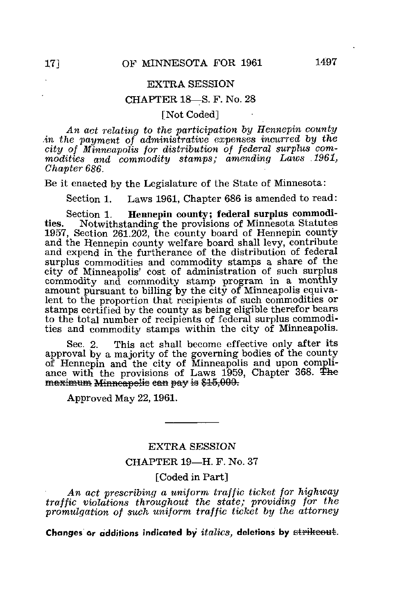## EXTRA SESSION

## CHAPTER 18—S. F. No. 28

[Not Coded]

An act relating to the participation by Hennepin county in the payment of administrative expenses incurred by the city of Minneapolis for distribution of federal surplus commodities and commodity stamps; amending Laws 1961, Chapter 686.

Be it enacted by the Legislature of the State of Minnesota:

Section 1. Laws 1961, Chapter 686 is amended to read:

Section 1. Hennepin county; federal surplus commodities. Notwithstanding the provisions of Minnesota Statutes 1957, Section 261.202, the county board of Hennepin county and the Hennepin county welfare board shall levy, contribute and expend in the furtherance of the distribution of federal surplus commodities and commodity stamps a share of the city of Minneapolis' cost of administration of such surplus commodity and commodity stamp program in a monthly amount pursuant to billing by the city of Minneapolis equivalent to the proportion that recipients of such commodities or stamps certified by the county as being eligible therefor bears to the total number of recipients of federal surplus commodities and commodity stamps within the city of Minneapolis.

Sec. 2. This act shall become effective only after its approval by a majority of the governing bodies of the county of Hennepin and the city of Minneapolis and upon compliance with the provisions of Laws 1959, Chapter 368. maximum Minneapolis ean pay is \$15,000.

Approved May 22,1961.

## EXTRA SESSION

CHAPTER 19—H. F. No. 37

[Coded in Part]

An act prescribing a uniform traffic ticket for highway traffic violations throughout the state; providing for the promulgation of such uniform traffic ticket by the attorney

Changes or additions indicated by  $italics$ , deletions by strikeout.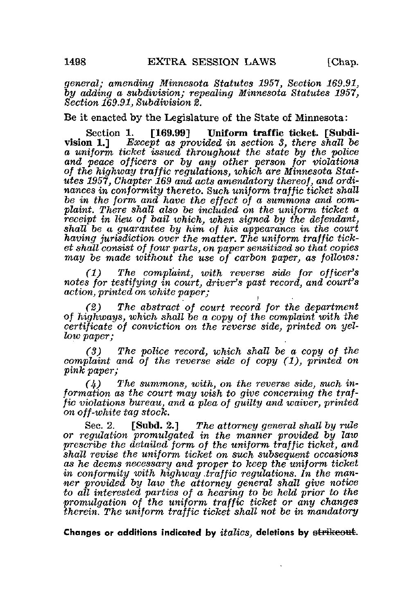general; amending Minnesota Statutes 1957, Section 169,91, by adding a subdivision; repealing Minnesota Statutes 1957, Section 169.91, Subdivision 2.

Be it enacted by the Legislature of the State of Minnesota:

Section 1. [169.99] Uniform traffic ticket. [Subdivision 1.] Except as provided in section 3, there shall be a uniform ticket issued throughout the state by the police and peace officers or by any other person for violations of the highway traffic regulations, which are Minnesota Statutes 1957, Chapter 169 and acts amendatory thereof, and ordinances in conformity thereto. Such uniform traffic ticket shall be in the form and have the effect of a summons and complaint. There shall also be included on the uniform ticket a receipt in lieu of bail which, when signed by the defendant, shall be a guarantee by him of his appearance in the court having jurisdiction over the matter. The uniform traffic ticket shall consist of four parts, on paper sensitised so that copies may be made without the use of carbon paper, as follows:

(1) The complaint, with reverse side for officer's notes for testifying in court, driver's past record, and court's action, printed on white paper;

(2) The abstract of court record for the department of highways, which shall be a copy of the complaint with the certificate of conviction on the reverse side, printed on yellow paper;

(3) The police record, which shall be a copy of the complaint and of the reverse side of copy (1), printed on pink paper;

 $(4)$  The summons, with, on the reverse side, such information as the court may wish to give concerning the traffic violations bureau, and a plea of guilty and waiver, printed on off-white tag stock.

Sec. 2. [Subd. 2.] The attorney general shall by rule or regulation promulgated in the manner provided by law prescribe the detailed form of the uniform traffic ticket, and shall revise the uniform ticket on such subsequent occasions as he deems necessary and proper to keep the uniform ticket in conformity with highway traffic regulations. In the manner provided by law the attorney general shall give notice to all interested parties of a hearing to be held prior to the promulgation of the uniform traffic ticket or any changes therein. The uniform traffic ticket shall not be in mandatory

Changes or additions indicated by *italics*, deletions by <del>strikeout</del>.